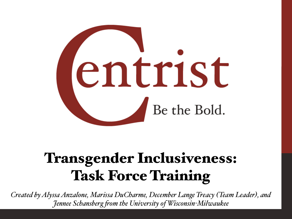

# Transgender Inclusiveness: Task Force Training

*Created by Alyssa Anzalone, Marissa DuCharme, December Lange Treacy (Team Leader), and Jennee Schansberg fom the University of Wisconsin-Milwaukee*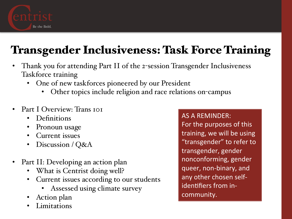

# Transgender Inclusiveness: Task Force Training

- Thank you for attending Part II of the 2-session Transgender Inclusiveness Taskforce training
	- One of new taskforces pioneered by our President
		- Other topics include religion and race relations on-campus
- Part I Overview: Trans 101
	- Definitions
	- Pronoun usage
	- Current issues
	- Discussion / Q&A
- Part II: Developing an action plan
	- What is Centrist doing well?
	- Current issues according to our students
		- Assessed using climate survey
	- Action plan
	- **Limitations**

AS A REMINDER: For the purposes of this training, we will be using "transgender" to refer to transgender, gender nonconforming, gender queer, non-binary, and any other chosen selfidentifiers from incommunity.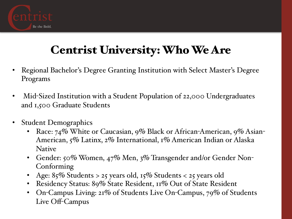

# Centrist University: Who We Are

- Regional Bachelor's Degree Granting Institution with Select Master's Degree Programs
- Mid-Sized Institution with a Student Population of 22,000 Undergraduates and 1,500 Graduate Students
- Student Demographics
	- Race: 74% White or Caucasian, 9% Black or African-American, 9% Asian-American, 5% Latinx, 2% International, 1% American Indian or Alaska Native
	- Gender: 50% Women, 47% Men, 3% Transgender and/or Gender Non-Conforming
	- Age:  $85\%$  Students > 25 years old,  $15\%$  Students < 25 years old
	- Residency Status: 89% State Resident, 11% Out of State Resident
	- On-Campus Living: 21% of Students Live On-Campus, 79% of Students Live Off-Campus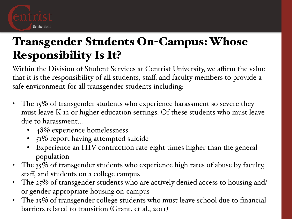

# Transgender Students On-Campus: Whose Responsibility Is It?

Within the Division of Student Services at Centrist University, we affirm the value that it is the responsibility of all students, staff, and faculty members to provide a safe environment for all transgender students including:

- The  $15\%$  of transgender students who experience harassment so severe they must leave K-12 or higher education settings. Of these students who must leave due to harassment…
	- 48% experience homelessness
	- 51% report having attempted suicide
	- Experience an HIV contraction rate eight times higher than the general population
- The 35% of transgender students who experience high rates of abuse by faculty, staff, and students on a college campus
- The 25% of transgender students who are actively denied access to housing and/ or gender-appropriate housing on-campus
- The 15% of transgender college students who must leave school due to financial barriers related to transition (Grant, et al., 2011)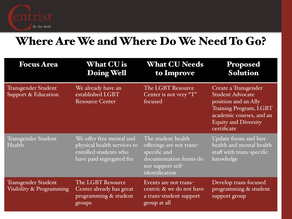

#### Where Are We and Where Do We Need To Go?

| <b>Focus Area</b>                               | <b>What CU is</b><br>Doing Well                                                                              | <b>What CU Needs</b><br>to Improve                                                                                              | <b>Proposed</b><br><b>Solution</b>                                                                                                                                          |
|-------------------------------------------------|--------------------------------------------------------------------------------------------------------------|---------------------------------------------------------------------------------------------------------------------------------|-----------------------------------------------------------------------------------------------------------------------------------------------------------------------------|
| Transgender Student<br>Support & Education      | We already have an<br>established LGBT<br><b>Resource Center</b>                                             | The LGBT Resource<br>Center is not very "T"<br>focused                                                                          | Create a Transgender<br><b>Student Advocate</b><br>position and an Ally<br>Training Program, LGBT<br>academic courses, and an<br><b>Equity and Diversity</b><br>certificate |
| Transgender Student<br>Health                   | We offer free mental and<br>physical health services to<br>enrolled students who<br>have paid segregated fee | The student health<br>offerings are not trans-<br>specific and<br>documentation forms do<br>not support self-<br>identification | Update forms and hire<br>health and mental health<br>staff with trans-specific<br>knowledge                                                                                 |
| Transgender Student<br>Visibility & Programming | The LGBT Resource<br>Center already has great<br>programming & student<br>groups                             | Events are not trans-<br>centric & we do not have<br>a trans-student support<br>group at all                                    | Develop trans focused<br>programming & student<br>support group                                                                                                             |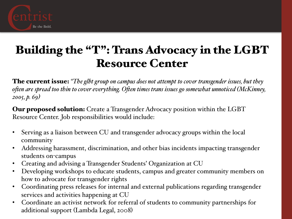

#### Building the "T": Trans Advocacy in the LGBT Resource Center

The current issue: *"The glbt group on campus does not attempt to cover transgender issues, but they ofen are spread too thin to cover everything. Ofen times trans issues go somewhat unnoticed (McKinney, 2005, p. 69)*

Our proposed solution: Create a Transgender Advocacy position within the LGBT Resource Center. Job responsibilities would include:

- Serving as a liaison between CU and transgender advocacy groups within the local community
- Addressing harassment, discrimination, and other bias incidents impacting transgender students on-campus
- Creating and advising a Transgender Students' Organization at CU
- Developing workshops to educate students, campus and greater community members on how to advocate for transgender rights
- Coordinating press releases for internal and external publications regarding transgender services and activities happening at CU
- Coordinate an activist network for referral of students to community partnerships for additional support (Lambda Legal, 2008)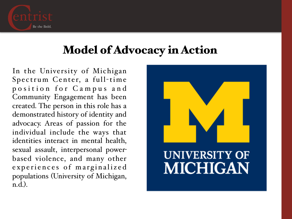

#### Model of Advocacy in Action

In the University of Michigan Spectrum Center, a full-time position for Campus and Community Engagement has been created. The person in this role has a demonstrated history of identity and advocacy. Areas of passion for the individual include the ways that identities interact in mental health, sexual assault, interpersonal powerbased violence, and many other experiences of marginalized populations (University of Michigan, n.d.).

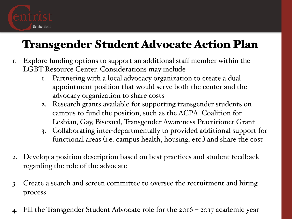

# Transgender Student Advocate Action Plan

- 1. Explore funding options to support an additional staff member within the LGBT Resource Center. Considerations may include
	- 1. Partnering with a local advocacy organization to create a dual appointment position that would serve both the center and the advocacy organization to share costs
	- 2. Research grants available for supporting transgender students on campus to fund the position, such as the ACPA Coalition for Lesbian, Gay, Bisexual, Transgender Awareness Practitioner Grant
	- 3. Collaborating inter-departmentally to provided additional support for functional areas (i.e. campus health, housing, etc.) and share the cost
- 2. Develop a position description based on best practices and student feedback regarding the role of the advocate
- 3. Create a search and screen committee to oversee the recruitment and hiring process
- 4. Fill the Transgender Student Advocate role for the 2016 2017 academic year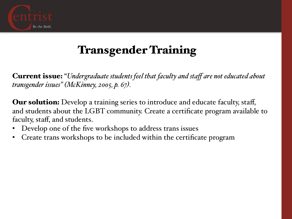

# Transgender Training

Current issue: "*Undergraduate students feel that faculty and staff are not educated about transgender issues" (McKinney, 2005, p. 67).*

**Our solution:** Develop a training series to introduce and educate faculty, staff, and students about the LGBT community. Create a certificate program available to faculty, staff, and students.

- Develop one of the five workshops to address trans issues
- Create trans workshops to be included within the certificate program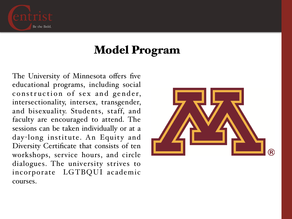

#### Model Program

The University of Minnesota offers five educational programs, including social construction of sex and gender, intersectionality, intersex, transgender, and bisexuality. Students, staff, and faculty are encouraged to attend. The sessions can be taken individually or at a day-long institute. An Equity and Diversity Certificate that consists of ten workshops, service hours, and circle dialogues. The university strives to incorporate LGTBQUI academic courses.

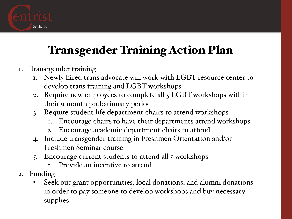

# Transgender Training Action Plan

- 1. Trans-gender training
	- 1. Newly hired trans advocate will work with LGBT resource center to develop trans training and LGBT workshops
	- 2. Require new employees to complete all 5 LGBT workshops within their 9 month probationary period
	- 3. Require student life department chairs to attend workshops
		- 1. Encourage chairs to have their departments attend workshops
		- 2. Encourage academic department chairs to attend
	- 4. Include transgender training in Freshmen Orientation and/or Freshmen Seminar course
	- 5. Encourage current students to attend all 5 workshops
		- Provide an incentive to attend
- 2. Funding
	- Seek out grant opportunities, local donations, and alumni donations in order to pay someone to develop workshops and buy necessary supplies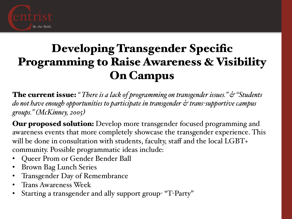

## Developing Transgender Specific Programming to Raise Awareness & Visibility On Campus

The current issue: *" There is a lack of programming on transgender issues." & "Students do not have enough opportunities to participate in transgender & trans-supportive campus groups." (McKinney, 2005)*

**Our proposed solution:** Develop more transgender focused programming and awareness events that more completely showcase the transgender experience. This will be done in consultation with students, faculty, staff and the local LGBT+ community. Possible programmatic ideas include:

- Queer Prom or Gender Bender Ball
- Brown Bag Lunch Series
- Transgender Day of Remembrance
- Trans Awareness Week
- Starting a transgender and ally support group- "T-Party"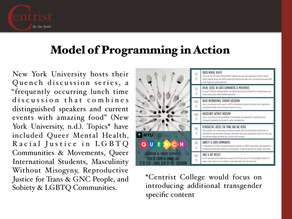

### Model of Programming in Action

New York University hosts their Quench discussion series, a "frequently occurring lunch time discussion that combines distinguished speakers and current events with amazing food" (New York University, n.d.). Topics\* have included Queer Mental Health, Racial Justice in LGBTQ Communities & Movements, Queer International Students, Masculinity Without Misogyny, Reproductive Justice for Trans & GNC People, and Sobiety & LGBTQ Communities.



\*Centrist College would focus on introducing additional transgender specific content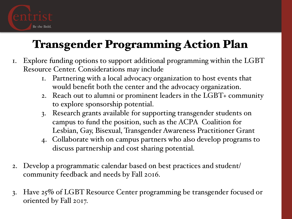

# Transgender Programming Action Plan

- 1. Explore funding options to support additional programming within the LGBT Resource Center. Considerations may include
	- 1. Partnering with a local advocacy organization to host events that would benefit both the center and the advocacy organization.
	- 2. Reach out to alumni or prominent leaders in the LGBT+ community to explore sponsorship potential.
	- 3. Research grants available for supporting transgender students on campus to fund the position, such as the ACPA Coalition for Lesbian, Gay, Bisexual, Transgender Awareness Practitioner Grant
	- 4. Collaborate with on campus partners who also develop programs to discuss partnership and cost sharing potential.
- 2. Develop a programmatic calendar based on best practices and student/ community feedback and needs by Fall 2016.
- 3. Have 25% of LGBT Resource Center programming be transgender focused or oriented by Fall 2017.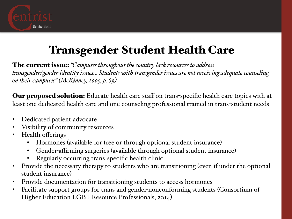

# Transgender Student Health Care

The current issue: *"Campuses throughout the country lack resources to address transgender/gender identity issues… Students with transgender issues are not receiving adequate counseling on their campuses" (McKinney, 2005, p. 69)*

**Our proposed solution:** Educate health care staff on trans-specific health care topics with at least one dedicated health care and one counseling professional trained in trans-student needs

- Dedicated patient advocate
- Visibility of community resources
- Health offerings
	- Hormones (available for free or through optional student insurance)
	- Gender-affirming surgeries (available through optional student insurance)
	- Regularly occurring trans-specific health clinic
- Provide the necessary therapy to students who are transitioning (even if under the optional student insurance)
- Provide documentation for transitioning students to access hormones
- Facilitate support groups for trans and gender-nonconforming students (Consortium of Higher Education LGBT Resource Professionals, 2014)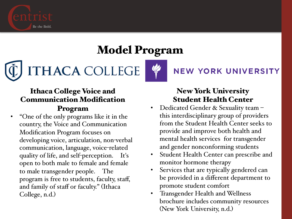

### Model Program

**ITHACA COLLEGE** 

#### Ithaca College Voice and Communication Modification Program

• "One of the only programs like it in the country, the Voice and Communication Modification Program focuses on developing voice, articulation, non-verbal communication, language, voice-related quality of life, and self-perception. It's open to both male to female and female to male transgender people. The program is free to students, faculty, staff, and family of staff or faculty." (Ithaca College, n.d.)

#### New York University Student Health Center

**NEW YORK UNIVERSITY** 

- Dedicated Gender & Sexuality team this interdisciplinary group of providers from the Student Health Center seeks to provide and improve both health and mental health services for transgender and gender nonconforming students
- Student Health Center can prescribe and monitor hormone therapy
- Services that are typically gendered can be provided in a different department to promote student comfort
- Transgender Health and Wellness brochure includes community resources (New York University, n.d.)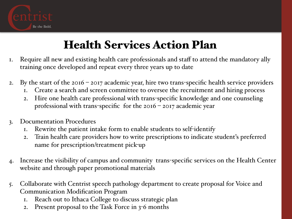

# Health Services Action Plan

- 1. Require all new and existing health care professionals and staff to attend the mandatory ally training once developed and repeat every three years up to date
- 2. By the start of the 2016 2017 academic year, hire two trans-specific health service providers
	- 1. Create a search and screen committee to oversee the recruitment and hiring process
	- 2. Hire one health care professional with trans-specific knowledge and one counseling professional with trans-specific for the  $2016 - 2017$  academic year
- 3. Documentation Procedures
	- 1. Rewrite the patient intake form to enable students to self-identify
	- 2. Train health care providers how to write prescriptions to indicate student's preferred name for prescription/treatment pick-up
- 4. Increase the visibility of campus and community trans-specific services on the Health Center website and through paper promotional materials
- 5. Collaborate with Centrist speech pathology department to create proposal for Voice and Communication Modification Program
	- 1. Reach out to Ithaca College to discuss strategic plan
	- 2. Present proposal to the Task Force in 3-6 months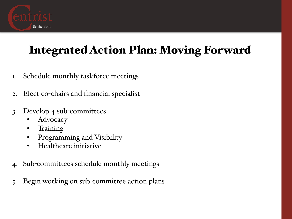

# Integrated Action Plan: Moving Forward

- 1. Schedule monthly taskforce meetings
- 2. Elect co-chairs and financial specialist
- 3. Develop 4 sub-committees:
	- Advocacy
	- Training
	- Programming and Visibility
	- Healthcare initiative
- 4. Sub-committees schedule monthly meetings
- 5. Begin working on sub-committee action plans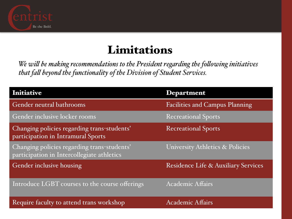

#### Limitations

*We wil be making recommendations to the President regarding the folowing initiatives that fal beyond the functionality of the Division of Student Services.* 

| <b>Initiative</b>                                                                         | <b>Department</b>                     |
|-------------------------------------------------------------------------------------------|---------------------------------------|
| Gender neutral bathrooms                                                                  | <b>Facilities and Campus Planning</b> |
| Gender inclusive locker rooms                                                             | <b>Recreational Sports</b>            |
| Changing policies regarding trans-students'<br>participation in Intramural Sports         | <b>Recreational Sports</b>            |
| Changing policies regarding trans-students'<br>participation in Intercollegiate athletics | University Athletics & Policies       |
| Gender inclusive housing                                                                  | Residence Life & Auxiliary Services   |
| Introduce LGBT courses to the course offerings                                            | <b>Academic Affairs</b>               |
| Require faculty to attend trans workshop                                                  | <b>Academic Affairs</b>               |